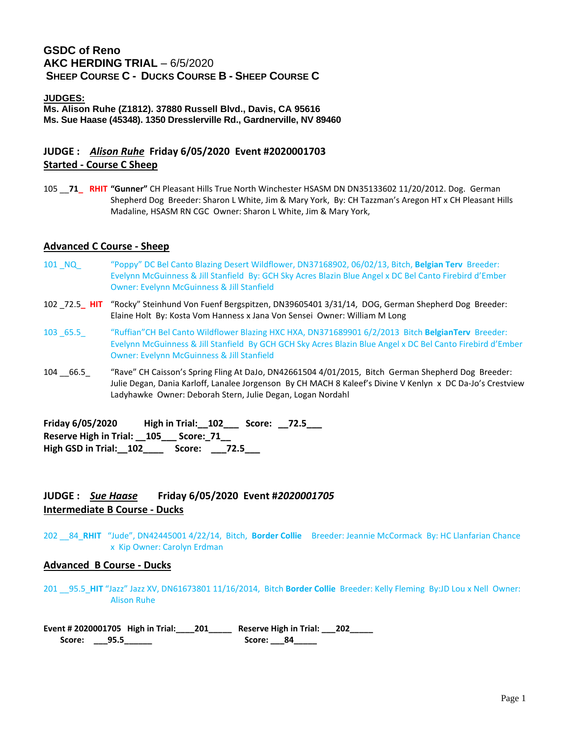# **GSDC of Reno AKC HERDING TRIAL** – 6/5/2020 **SHEEP COURSE C - DUCKS COURSE B - SHEEP COURSE C**

#### **JUDGES:**

**Ms. Alison Ruhe (Z1812). 37880 Russell Blvd., Davis, CA 95616 Ms. Sue Haase (45348). 1350 Dresslerville Rd., Gardnerville, NV 89460**

# **JUDGE :** *Alison Ruhe* **Friday 6/05/2020 Event #2020001703 Started - Course C Sheep**

105 \_\_**71\_ RHIT "Gunner"** CH Pleasant Hills True North Winchester HSASM DN DN35133602 11/20/2012. Dog. German Shepherd Dog Breeder: Sharon L White, Jim & Mary York, By: CH Tazzman's Aregon HT x CH Pleasant Hills Madaline, HSASM RN CGC Owner: Sharon L White, Jim & Mary York,

### **Advanced C Course - Sheep**

- 101 \_NQ\_ "Poppy" DC Bel Canto Blazing Desert Wildflower, DN37168902, 06/02/13, Bitch, **Belgian Terv** Breeder: Evelynn McGuinness & Jill Stanfield By: GCH Sky Acres Blazin Blue Angel x DC Bel Canto Firebird d'Ember Owner: Evelynn McGuinness & Jill Stanfield
- 102 \_72.5**\_ HIT** "Rocky" Steinhund Von Fuenf Bergspitzen, DN39605401 3/31/14, DOG, German Shepherd Dog Breeder: Elaine Holt By: Kosta Vom Hanness x Jana Von Sensei Owner: William M Long
- 103 \_65.5\_ "Ruffian"CH Bel Canto Wildflower Blazing HXC HXA, DN371689901 6/2/2013 Bitch **BelgianTerv** Breeder: Evelynn McGuinness & Jill Stanfield By GCH GCH Sky Acres Blazin Blue Angel x DC Bel Canto Firebird d'Ember Owner: Evelynn McGuinness & Jill Stanfield
- 104 \_\_66.5\_ "Rave" CH Caisson's Spring Fling At DaJo, DN42661504 4/01/2015, Bitch German Shepherd Dog Breeder: Julie Degan, Dania Karloff, Lanalee Jorgenson By CH MACH 8 Kaleef's Divine V Kenlyn x DC Da-Jo's Crestview Ladyhawke Owner: Deborah Stern, Julie Degan, Logan Nordahl

**Friday 6/05/2020 High in Trial:\_\_102\_\_\_ Score: \_\_72.5\_\_\_ Reserve High in Trial: \_\_105\_\_\_ Score:\_71\_\_ High GSD in Trial:\_\_102\_\_\_\_ Score: \_\_\_72.5\_\_\_**

# **JUDGE :** *Sue Haase* **Friday 6/05/2020 Event #***2020001705* **Intermediate B Course - Ducks**

202 \_\_84\_**RHIT** "Jude", DN42445001 4/22/14, Bitch, **Border Collie** Breeder: Jeannie McCormack By: HC Llanfarian Chance x Kip Owner: Carolyn Erdman

#### **Advanced B Course - Ducks**

201 \_\_95.5\_**HIT** "Jazz" Jazz XV, DN61673801 11/16/2014, Bitch **Border Collie** Breeder: Kelly Fleming By:JD Lou x Nell Owner: Alison Ruhe

**Event # 2020001705 High in Trial:\_\_\_\_201\_\_\_\_\_ Reserve High in Trial: \_\_\_202\_\_\_\_\_ Score: \_\_\_95.5\_\_\_\_\_\_ Score: \_\_\_84\_\_\_\_\_**